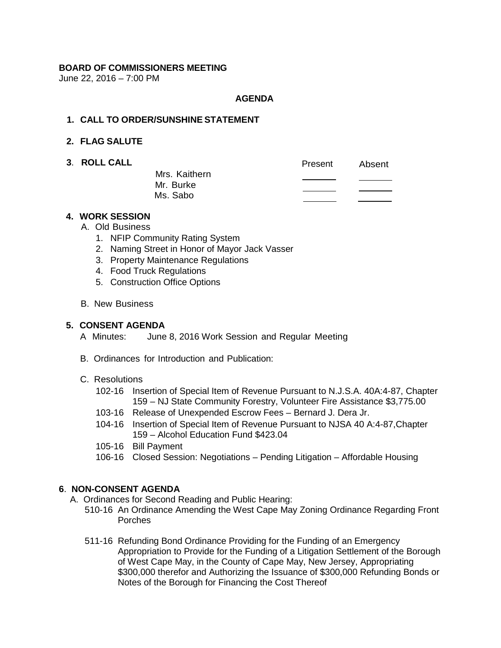# **BOARD OF COMMISSIONERS MEETING**

June 22, 2016 – 7:00 PM

## **AGENDA**

## **1. CALL TO ORDER/SUNSHINE STATEMENT**

# **2. FLAG SALUTE**

**3. ROLL CALL** 

|                            | Present | Absent |
|----------------------------|---------|--------|
| Mrs. Kaithern<br>Mr. Burke |         |        |
| Ms. Sabo                   |         |        |
|                            |         |        |

#### **4. WORK SESSION**

- A. Old Business
	- 1. NFIP Community Rating System
	- 2. Naming Street in Honor of Mayor Jack Vasser
	- 3. Property Maintenance Regulations
	- 4. Food Truck Regulations
	- 5. Construction Office Options
- B. New Business

#### **5. CONSENT AGENDA**

- A Minutes: June 8, 2016 Work Session and Regular Meeting
- B. Ordinances for Introduction and Publication:

#### C. Resolutions

- 102-16 Insertion of Special Item of Revenue Pursuant to N.J.S.A. 40A:4-87, Chapter 159 – NJ State Community Forestry, Volunteer Fire Assistance \$3,775.00
- 103-16 Release of Unexpended Escrow Fees Bernard J. Dera Jr.
- 104-16 Insertion of Special Item of Revenue Pursuant to NJSA 40 A:4-87,Chapter 159 – Alcohol Education Fund \$423.04
- 105-16 Bill Payment
- 106-16 Closed Session: Negotiations Pending Litigation Affordable Housing

# **6**. **NON-CONSENT AGENDA**

- A. Ordinances for Second Reading and Public Hearing:
	- 510-16 An Ordinance Amending the West Cape May Zoning Ordinance Regarding Front Porches
	- 511-16 Refunding Bond Ordinance Providing for the Funding of an Emergency Appropriation to Provide for the Funding of a Litigation Settlement of the Borough of West Cape May, in the County of Cape May, New Jersey, Appropriating \$300,000 therefor and Authorizing the Issuance of \$300,000 Refunding Bonds or Notes of the Borough for Financing the Cost Thereof